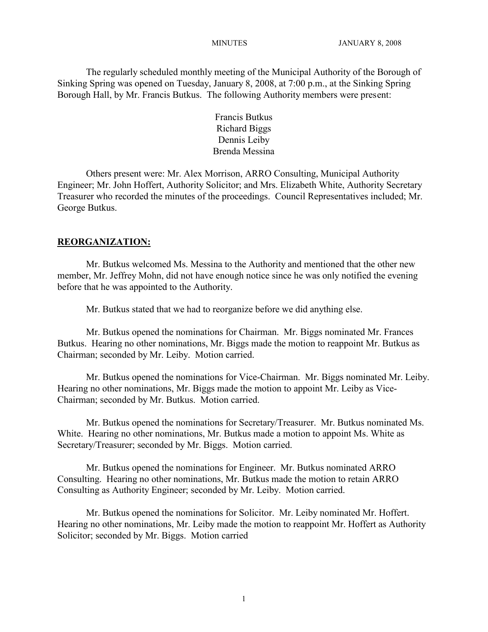The regularly scheduled monthly meeting of the Municipal Authority of the Borough of Sinking Spring was opened on Tuesday, January 8, 2008, at 7:00 p.m., at the Sinking Spring Borough Hall, by Mr. Francis Butkus. The following Authority members were present:

> Francis Butkus Richard Biggs Dennis Leiby Brenda Messina

Others present were: Mr. Alex Morrison, ARRO Consulting, Municipal Authority Engineer; Mr. John Hoffert, Authority Solicitor; and Mrs. Elizabeth White, Authority Secretary Treasurer who recorded the minutes of the proceedings. Council Representatives included; Mr. George Butkus.

# **REORGANIZATION:**

Mr. Butkus welcomed Ms. Messina to the Authority and mentioned that the other new member, Mr. Jeffrey Mohn, did not have enough notice since he was only notified the evening before that he was appointed to the Authority.

Mr. Butkus stated that we had to reorganize before we did anything else.

Mr. Butkus opened the nominations for Chairman. Mr. Biggs nominated Mr. Frances Butkus. Hearing no other nominations, Mr. Biggs made the motion to reappoint Mr. Butkus as Chairman; seconded by Mr. Leiby. Motion carried.

Mr. Butkus opened the nominations for Vice-Chairman. Mr. Biggs nominated Mr. Leiby. Hearing no other nominations, Mr. Biggs made the motion to appoint Mr. Leiby as Vice-Chairman; seconded by Mr. Butkus. Motion carried.

Mr. Butkus opened the nominations for Secretary/Treasurer. Mr. Butkus nominated Ms. White. Hearing no other nominations, Mr. Butkus made a motion to appoint Ms. White as Secretary/Treasurer; seconded by Mr. Biggs. Motion carried.

Mr. Butkus opened the nominations for Engineer. Mr. Butkus nominated ARRO Consulting. Hearing no other nominations, Mr. Butkus made the motion to retain ARRO Consulting as Authority Engineer; seconded by Mr. Leiby. Motion carried.

Mr. Butkus opened the nominations for Solicitor. Mr. Leiby nominated Mr. Hoffert. Hearing no other nominations, Mr. Leiby made the motion to reappoint Mr. Hoffert as Authority Solicitor; seconded by Mr. Biggs. Motion carried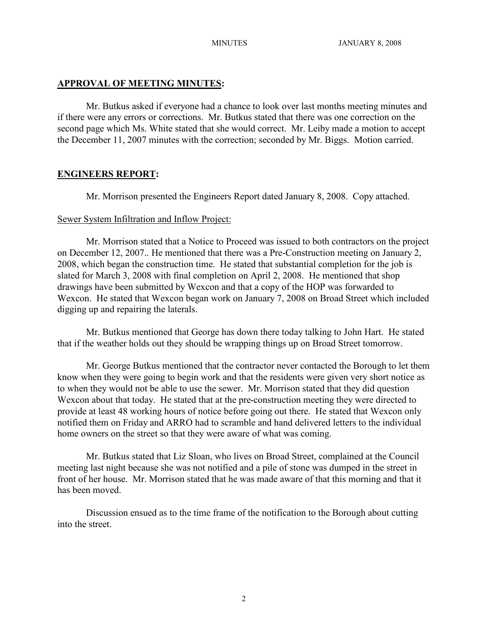## **APPROVAL OF MEETING MINUTES:**

Mr. Butkus asked if everyone had a chance to look over last months meeting minutes and if there were any errors or corrections. Mr. Butkus stated that there was one correction on the second page which Ms. White stated that she would correct. Mr. Leiby made a motion to accept the December 11, 2007 minutes with the correction; seconded by Mr. Biggs. Motion carried.

## **ENGINEERS REPORT:**

Mr. Morrison presented the Engineers Report dated January 8, 2008. Copy attached.

### Sewer System Infiltration and Inflow Project:

Mr. Morrison stated that a Notice to Proceed was issued to both contractors on the project on December 12, 2007.. He mentioned that there was a Pre-Construction meeting on January 2, 2008, which began the construction time. He stated that substantial completion for the job is slated for March 3, 2008 with final completion on April 2, 2008. He mentioned that shop drawings have been submitted by Wexcon and that a copy of the HOP was forwarded to Wexcon. He stated that Wexcon began work on January 7, 2008 on Broad Street which included digging up and repairing the laterals.

Mr. Butkus mentioned that George has down there today talking to John Hart. He stated that if the weather holds out they should be wrapping things up on Broad Street tomorrow.

Mr. George Butkus mentioned that the contractor never contacted the Borough to let them know when they were going to begin work and that the residents were given very short notice as to when they would not be able to use the sewer. Mr. Morrison stated that they did question Wexcon about that today. He stated that at the pre-construction meeting they were directed to provide at least 48 working hours of notice before going out there. He stated that Wexcon only notified them on Friday and ARRO had to scramble and hand delivered letters to the individual home owners on the street so that they were aware of what was coming.

Mr. Butkus stated that Liz Sloan, who lives on Broad Street, complained at the Council meeting last night because she was not notified and a pile of stone was dumped in the street in front of her house. Mr. Morrison stated that he was made aware of that this morning and that it has been moved.

Discussion ensued as to the time frame of the notification to the Borough about cutting into the street.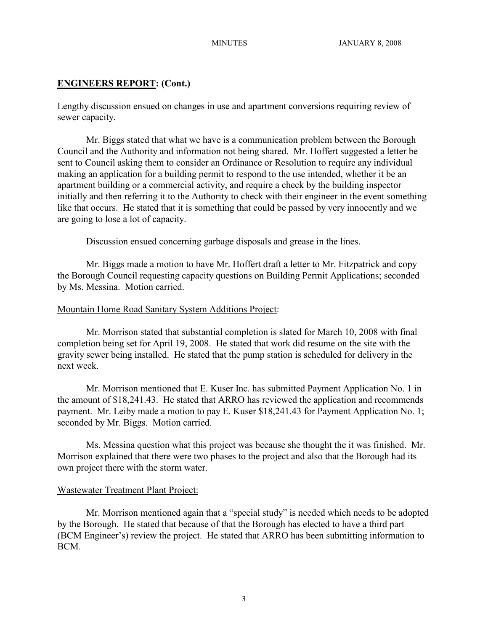## **ENGINEERS REPORT: (Cont.)**

Lengthy discussion ensued on changes in use and apartment conversions requiring review of sewer capacity.

Mr. Biggs stated that what we have is a communication problem between the Borough Council and the Authority and information not being shared. Mr. Hoffert suggested a letter be sent to Council asking them to consider an Ordinance or Resolution to require any individual making an application for a building permit to respond to the use intended, whether it be an apartment building or a commercial activity, and require a check by the building inspector initially and then referring it to the Authority to check with their engineer in the event something like that occurs. He stated that it is something that could be passed by very innocently and we are going to lose a lot of capacity.

Discussion ensued concerning garbage disposals and grease in the lines.

Mr. Biggs made a motion to have Mr. Hoffert draft a letter to Mr. Fitzpatrick and copy the Borough Council requesting capacity questions on Building Permit Applications; seconded by Ms. Messina. Motion carried.

### Mountain Home Road Sanitary System Additions Project:

Mr. Morrison stated that substantial completion is slated for March 10, 2008 with final completion being set for April 19, 2008. He stated that work did resume on the site with the gravity sewer being installed. He stated that the pump station is scheduled for delivery in the next week.

Mr. Morrison mentioned that E. Kuser Inc. has submitted Payment Application No. 1 in the amount of \$18,241.43. He stated that ARRO has reviewed the application and recommends payment. Mr. Leiby made a motion to pay E. Kuser \$18,241.43 for Payment Application No. 1; seconded by Mr. Biggs. Motion carried.

Ms. Messina question what this project was because she thought the it was finished. Mr. Morrison explained that there were two phases to the project and also that the Borough had its own project there with the storm water.

### Wastewater Treatment Plant Project:

Mr. Morrison mentioned again that a "special study" is needed which needs to be adopted by the Borough. He stated that because of that the Borough has elected to have a third part (BCM Engineer's) review the project. He stated that ARRO has been submitting information to BCM.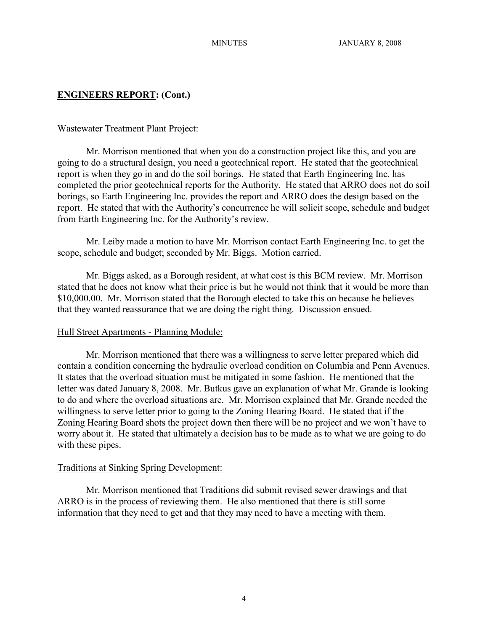# **ENGINEERS REPORT: (Cont.)**

#### Wastewater Treatment Plant Project:

Mr. Morrison mentioned that when you do a construction project like this, and you are going to do a structural design, you need a geotechnical report. He stated that the geotechnical report is when they go in and do the soil borings. He stated that Earth Engineering Inc. has completed the prior geotechnical reports for the Authority. He stated that ARRO does not do soil borings, so Earth Engineering Inc. provides the report and ARRO does the design based on the report. He stated that with the Authority's concurrence he will solicit scope, schedule and budget from Earth Engineering Inc. for the Authority's review.

Mr. Leiby made a motion to have Mr. Morrison contact Earth Engineering Inc. to get the scope, schedule and budget; seconded by Mr. Biggs. Motion carried.

Mr. Biggs asked, as a Borough resident, at what cost is this BCM review. Mr. Morrison stated that he does not know what their price is but he would not think that it would be more than \$10,000.00. Mr. Morrison stated that the Borough elected to take this on because he believes that they wanted reassurance that we are doing the right thing. Discussion ensued.

#### Hull Street Apartments - Planning Module:

Mr. Morrison mentioned that there was a willingness to serve letter prepared which did contain a condition concerning the hydraulic overload condition on Columbia and Penn Avenues. It states that the overload situation must be mitigated in some fashion. He mentioned that the letter was dated January 8, 2008. Mr. Butkus gave an explanation of what Mr. Grande is looking to do and where the overload situations are. Mr. Morrison explained that Mr. Grande needed the willingness to serve letter prior to going to the Zoning Hearing Board. He stated that if the Zoning Hearing Board shots the project down then there will be no project and we won't have to worry about it. He stated that ultimately a decision has to be made as to what we are going to do with these pipes.

#### Traditions at Sinking Spring Development:

Mr. Morrison mentioned that Traditions did submit revised sewer drawings and that ARRO is in the process of reviewing them. He also mentioned that there is still some information that they need to get and that they may need to have a meeting with them.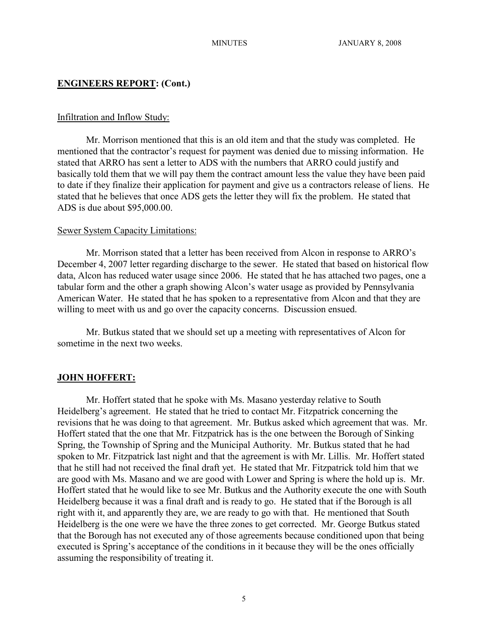### **ENGINEERS REPORT: (Cont.)**

#### Infiltration and Inflow Study:

Mr. Morrison mentioned that this is an old item and that the study was completed. He mentioned that the contractor's request for payment was denied due to missing information. He stated that ARRO has sent a letter to ADS with the numbers that ARRO could justify and basically told them that we will pay them the contract amount less the value they have been paid to date if they finalize their application for payment and give us a contractors release of liens. He stated that he believes that once ADS gets the letter they will fix the problem. He stated that ADS is due about \$95,000.00.

#### Sewer System Capacity Limitations:

Mr. Morrison stated that a letter has been received from Alcon in response to ARRO's December 4, 2007 letter regarding discharge to the sewer. He stated that based on historical flow data, Alcon has reduced water usage since 2006. He stated that he has attached two pages, one a tabular form and the other a graph showing Alcon's water usage as provided by Pennsylvania American Water. He stated that he has spoken to a representative from Alcon and that they are willing to meet with us and go over the capacity concerns. Discussion ensued.

Mr. Butkus stated that we should set up a meeting with representatives of Alcon for sometime in the next two weeks.

### **JOHN HOFFERT:**

Mr. Hoffert stated that he spoke with Ms. Masano yesterday relative to South Heidelberg's agreement. He stated that he tried to contact Mr. Fitzpatrick concerning the revisions that he was doing to that agreement. Mr. Butkus asked which agreement that was. Mr. Hoffert stated that the one that Mr. Fitzpatrick has is the one between the Borough of Sinking Spring, the Township of Spring and the Municipal Authority. Mr. Butkus stated that he had spoken to Mr. Fitzpatrick last night and that the agreement is with Mr. Lillis. Mr. Hoffert stated that he still had not received the final draft yet. He stated that Mr. Fitzpatrick told him that we are good with Ms. Masano and we are good with Lower and Spring is where the hold up is. Mr. Hoffert stated that he would like to see Mr. Butkus and the Authority execute the one with South Heidelberg because it was a final draft and is ready to go. He stated that if the Borough is all right with it, and apparently they are, we are ready to go with that. He mentioned that South Heidelberg is the one were we have the three zones to get corrected. Mr. George Butkus stated that the Borough has not executed any of those agreements because conditioned upon that being executed is Spring's acceptance of the conditions in it because they will be the ones officially assuming the responsibility of treating it.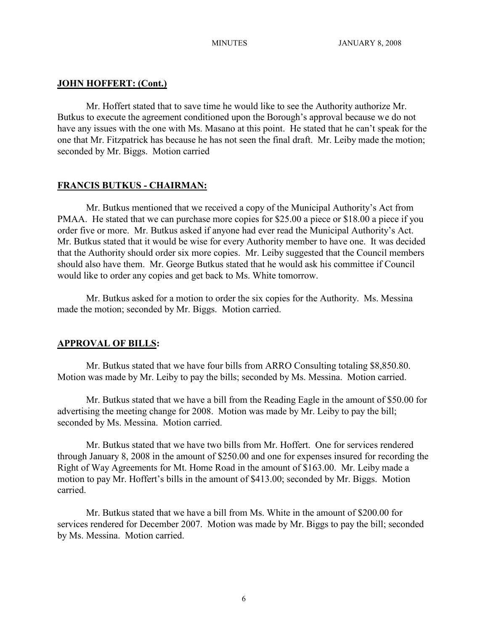## **JOHN HOFFERT: (Cont.)**

Mr. Hoffert stated that to save time he would like to see the Authority authorize Mr. Butkus to execute the agreement conditioned upon the Borough's approval because we do not have any issues with the one with Ms. Masano at this point. He stated that he can't speak for the one that Mr. Fitzpatrick has because he has not seen the final draft. Mr. Leiby made the motion; seconded by Mr. Biggs. Motion carried

## **FRANCIS BUTKUS - CHAIRMAN:**

Mr. Butkus mentioned that we received a copy of the Municipal Authority's Act from PMAA. He stated that we can purchase more copies for \$25.00 a piece or \$18.00 a piece if you order five or more. Mr. Butkus asked if anyone had ever read the Municipal Authority's Act. Mr. Butkus stated that it would be wise for every Authority member to have one. It was decided that the Authority should order six more copies. Mr. Leiby suggested that the Council members should also have them. Mr. George Butkus stated that he would ask his committee if Council would like to order any copies and get back to Ms. White tomorrow.

Mr. Butkus asked for a motion to order the six copies for the Authority. Ms. Messina made the motion; seconded by Mr. Biggs. Motion carried.

# **APPROVAL OF BILLS:**

Mr. Butkus stated that we have four bills from ARRO Consulting totaling \$8,850.80. Motion was made by Mr. Leiby to pay the bills; seconded by Ms. Messina. Motion carried.

Mr. Butkus stated that we have a bill from the Reading Eagle in the amount of \$50.00 for advertising the meeting change for 2008. Motion was made by Mr. Leiby to pay the bill; seconded by Ms. Messina. Motion carried.

Mr. Butkus stated that we have two bills from Mr. Hoffert. One for services rendered through January 8, 2008 in the amount of \$250.00 and one for expenses insured for recording the Right of Way Agreements for Mt. Home Road in the amount of \$163.00. Mr. Leiby made a motion to pay Mr. Hoffert's bills in the amount of \$413.00; seconded by Mr. Biggs. Motion carried.

Mr. Butkus stated that we have a bill from Ms. White in the amount of \$200.00 for services rendered for December 2007. Motion was made by Mr. Biggs to pay the bill; seconded by Ms. Messina. Motion carried.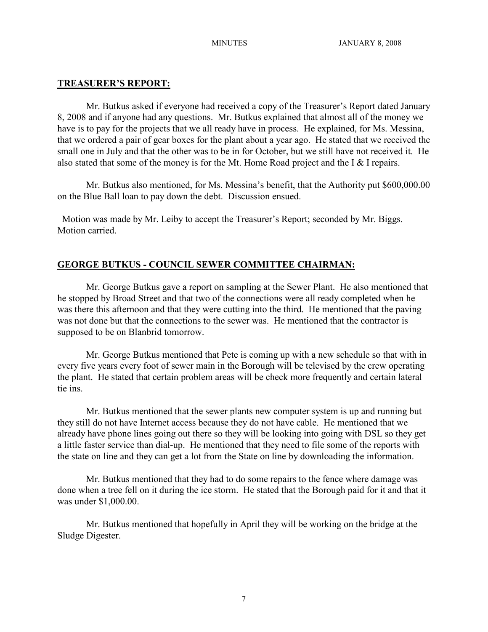## **TREASURER'S REPORT:**

Mr. Butkus asked if everyone had received a copy of the Treasurer's Report dated January 8, 2008 and if anyone had any questions. Mr. Butkus explained that almost all of the money we have is to pay for the projects that we all ready have in process. He explained, for Ms. Messina, that we ordered a pair of gear boxes for the plant about a year ago. He stated that we received the small one in July and that the other was to be in for October, but we still have not received it. He also stated that some of the money is for the Mt. Home Road project and the I & I repairs.

Mr. Butkus also mentioned, for Ms. Messina's benefit, that the Authority put \$600,000.00 on the Blue Ball loan to pay down the debt. Discussion ensued.

 Motion was made by Mr. Leiby to accept the Treasurer's Report; seconded by Mr. Biggs. Motion carried.

# **GEORGE BUTKUS - COUNCIL SEWER COMMITTEE CHAIRMAN:**

Mr. George Butkus gave a report on sampling at the Sewer Plant. He also mentioned that he stopped by Broad Street and that two of the connections were all ready completed when he was there this afternoon and that they were cutting into the third. He mentioned that the paving was not done but that the connections to the sewer was. He mentioned that the contractor is supposed to be on Blanbrid tomorrow.

Mr. George Butkus mentioned that Pete is coming up with a new schedule so that with in every five years every foot of sewer main in the Borough will be televised by the crew operating the plant. He stated that certain problem areas will be check more frequently and certain lateral tie ins.

Mr. Butkus mentioned that the sewer plants new computer system is up and running but they still do not have Internet access because they do not have cable. He mentioned that we already have phone lines going out there so they will be looking into going with DSL so they get a little faster service than dial-up. He mentioned that they need to file some of the reports with the state on line and they can get a lot from the State on line by downloading the information.

Mr. Butkus mentioned that they had to do some repairs to the fence where damage was done when a tree fell on it during the ice storm. He stated that the Borough paid for it and that it was under \$1,000.00.

Mr. Butkus mentioned that hopefully in April they will be working on the bridge at the Sludge Digester.